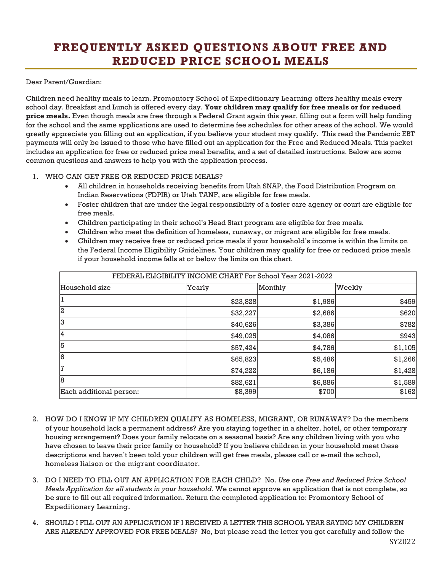## **FREQUENTLY ASKED QUESTIONS ABOUT FREE AND REDUCED PRICE SCHOOL MEALS**

## Dear Parent/Guardian:

Children need healthy meals to learn. Promontory School of Expeditionary Learning offers healthy meals every school day. Breakfast and Lunch is offered every day. **Your children may qualify for free meals or for reduced price meals.** Even though meals are free through a Federal Grant again this year, filling out a form will help funding for the school and the same applications are used to determine fee schedules for other areas of the school. We would greatly appreciate you filling out an application, if you believe your student may qualify. This read the Pandemic EBT payments will only be issued to those who have filled out an application for the Free and Reduced Meals. This packet includes an application for free or reduced price meal benefits, and a set of detailed instructions. Below are some common questions and answers to help you with the application process.

## 1. WHO CAN GET FREE OR REDUCED PRICE MEALS?

- All children in households receiving benefits from Utah SNAP, the Food Distribution Program on Indian Reservations (FDPIR) or Utah TANF, are eligible for free meals.
- Foster children that are under the legal responsibility of a foster care agency or court are eligible for free meals.
- Children participating in their school's Head Start program are eligible for free meals.
- Children who meet the definition of homeless, runaway, or migrant are eligible for free meals.
- Children may receive free or reduced price meals if your household's income is within the limits on the Federal Income Eligibility Guidelines. Your children may qualify for free or reduced price meals if your household income falls at or below the limits on this chart.

| FEDERAL ELIGIBILITY INCOME CHART For School Year 2021-2022 |          |         |         |
|------------------------------------------------------------|----------|---------|---------|
| Household size                                             | Yearly   | Monthly | Weekly  |
|                                                            | \$23,828 | \$1,986 | \$459   |
| $\overline{2}$                                             | \$32,227 | \$2,686 | \$620   |
| 3                                                          | \$40,626 | \$3,386 | \$782   |
| 4                                                          | \$49,025 | \$4,086 | \$943   |
| 5                                                          | \$57,424 | \$4,786 | \$1,105 |
| l6                                                         | \$65,823 | \$5,486 | \$1,266 |
| 7                                                          | \$74,222 | \$6,186 | \$1,428 |
| 8                                                          | \$82,621 | \$6,886 | \$1,589 |
| Each additional person:                                    | \$8,399  | \$700   | \$162   |

- 2. HOW DO I KNOW IF MY CHILDREN QUALIFY AS HOMELESS, MIGRANT, OR RUNAWAY? Do the members of your household lack a permanent address? Are you staying together in a shelter, hotel, or other temporary housing arrangement? Does your family relocate on a seasonal basis? Are any children living with you who have chosen to leave their prior family or household? If you believe children in your household meet these descriptions and haven't been told your children will get free meals, please call or e-mail the school, homeless liaison or the migrant coordinator.
- 3. DO I NEED TO FILL OUT AN APPLICATION FOR EACH CHILD? No. *Use one Free and Reduced Price School Meals Application for all students in your household.* We cannot approve an application that is not complete, so be sure to fill out all required information. Return the completed application to: Promontory School of Expeditionary Learning.
- 4. SHOULD I FILL OUT AN APPLICATION IF I RECEIVED A LETTER THIS SCHOOL YEAR SAYING MY CHILDREN ARE ALREADY APPROVED FOR FREE MEALS? No, but please read the letter you got carefully and follow the